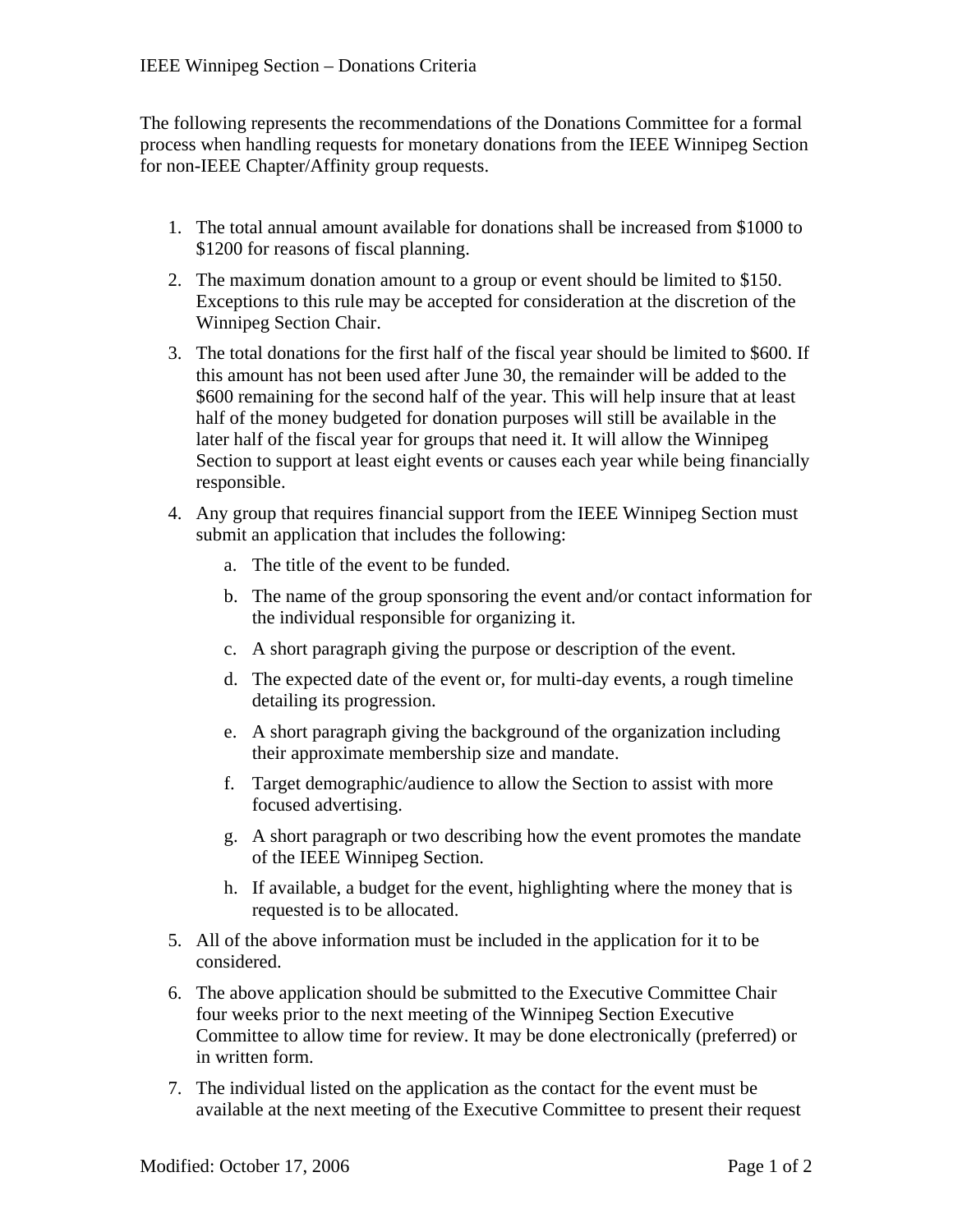The following represents the recommendations of the Donations Committee for a formal process when handling requests for monetary donations from the IEEE Winnipeg Section for non-IEEE Chapter/Affinity group requests.

- 1. The total annual amount available for donations shall be increased from \$1000 to \$1200 for reasons of fiscal planning.
- 2. The maximum donation amount to a group or event should be limited to \$150. Exceptions to this rule may be accepted for consideration at the discretion of the Winnipeg Section Chair.
- 3. The total donations for the first half of the fiscal year should be limited to \$600. If this amount has not been used after June 30, the remainder will be added to the \$600 remaining for the second half of the year. This will help insure that at least half of the money budgeted for donation purposes will still be available in the later half of the fiscal year for groups that need it. It will allow the Winnipeg Section to support at least eight events or causes each year while being financially responsible.
- 4. Any group that requires financial support from the IEEE Winnipeg Section must submit an application that includes the following:
	- a. The title of the event to be funded.
	- b. The name of the group sponsoring the event and/or contact information for the individual responsible for organizing it.
	- c. A short paragraph giving the purpose or description of the event.
	- d. The expected date of the event or, for multi-day events, a rough timeline detailing its progression.
	- e. A short paragraph giving the background of the organization including their approximate membership size and mandate.
	- f. Target demographic/audience to allow the Section to assist with more focused advertising.
	- g. A short paragraph or two describing how the event promotes the mandate of the IEEE Winnipeg Section.
	- h. If available, a budget for the event, highlighting where the money that is requested is to be allocated.
- 5. All of the above information must be included in the application for it to be considered.
- 6. The above application should be submitted to the Executive Committee Chair four weeks prior to the next meeting of the Winnipeg Section Executive Committee to allow time for review. It may be done electronically (preferred) or in written form.
- 7. The individual listed on the application as the contact for the event must be available at the next meeting of the Executive Committee to present their request